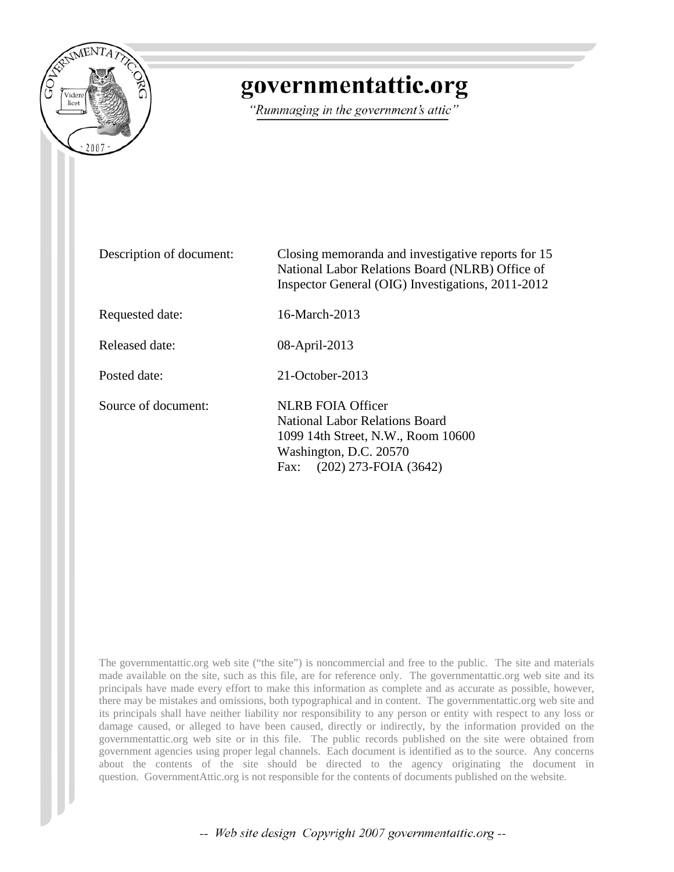

# governmentattic.org

"Rummaging in the government's attic"

| Description of document: | Closing memoranda and investigative reports for 15<br>National Labor Relations Board (NLRB) Office of<br>Inspector General (OIG) Investigations, 2011-2012             |
|--------------------------|------------------------------------------------------------------------------------------------------------------------------------------------------------------------|
| Requested date:          | 16-March-2013                                                                                                                                                          |
| Released date:           | 08-April-2013                                                                                                                                                          |
| Posted date:             | $21$ -October-2013                                                                                                                                                     |
| Source of document:      | <b>NLRB FOIA Officer</b><br><b>National Labor Relations Board</b><br>1099 14th Street, N.W., Room 10600<br>Washington, D.C. 20570<br>$(202)$ 273-FOIA $(3642)$<br>Fax: |

The governmentattic.org web site ("the site") is noncommercial and free to the public. The site and materials made available on the site, such as this file, are for reference only. The governmentattic.org web site and its principals have made every effort to make this information as complete and as accurate as possible, however, there may be mistakes and omissions, both typographical and in content. The governmentattic.org web site and its principals shall have neither liability nor responsibility to any person or entity with respect to any loss or damage caused, or alleged to have been caused, directly or indirectly, by the information provided on the governmentattic.org web site or in this file. The public records published on the site were obtained from government agencies using proper legal channels. Each document is identified as to the source. Any concerns about the contents of the site should be directed to the agency originating the document in question. GovernmentAttic.org is not responsible for the contents of documents published on the website.

-- Web site design Copyright 2007 governmentattic.org --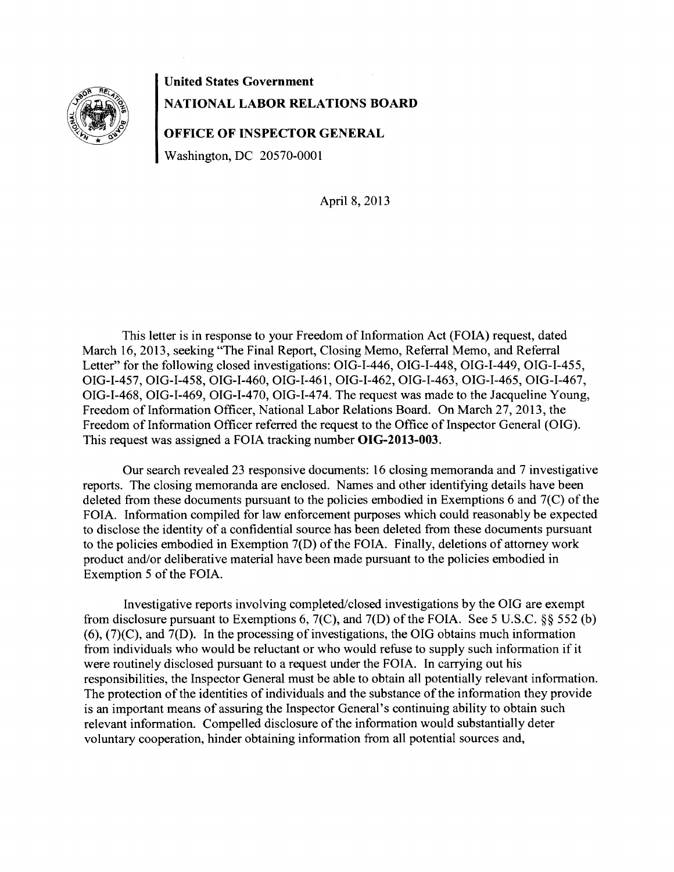

**United States Government NATIONAL LABOR RELATIONS BOARD** 

**OFFICE OF INSPECTOR GENERAL** 

Washington, DC 20570-0001

April 8, 2013

This letter is in response to your Freedom of Information Act (FOIA) request, dated March 16, 2013, seeking "The Final Report, Closing Memo, Referral Memo, and Referral Letter" for the following closed investigations: OIG-I-446, OIG-I-448, OIG-I-449, OIG-I-455, OIG-I-457, OIG-I-458, OIG-I-460, OIG-I-461, OIG-I-462, OIG-I-463, OIG-I-465, OIG-I-467, OIG-I-468, OIG-I-469, OIG-I-470, OIG-I-474. The request was made to the Jacqueline Young, Freedom of Information Officer, National Labor Relations Board. On March 27, 2013, the Freedom of Information Officer referred the request to the Office of Inspector General (OIG). This request was assigned a FOIA tracking number **OIG-2013-003.** 

Our search revealed 23 responsive documents: 16 closing memoranda and 7 investigative reports. The closing memoranda are enclosed. Names and other identifying details have been deleted from these documents pursuant to the policies embodied in Exemptions 6 and 7(C) of the FOIA. Information compiled for law enforcement purposes which could reasonably be expected to disclose the identity of a confidential source has been deleted from these documents pursuant to the policies embodied in Exemption 7(D) of the FOIA. Finally, deletions of attorney work product and/or deliberative material have been made pursuant to the policies embodied in Exemption 5 of the FOIA.

Investigative reports involving completed/closed investigations by the OIG are exempt from disclosure pursuant to Exemptions 6, 7(C), and 7(D) of the FOIA. See 5 U.S.C. §§ 552 (b) (6), (7)(C), and 7(D). In the processing of investigations, the OIG obtains much information from individuals who would be reluctant or who would refuse to supply such information if it were routinely disclosed pursuant to a request under the FOIA. In carrying out his responsibilities, the Inspector General must be able to obtain all potentially relevant information. The protection of the identities of individuals and the substance of the information they provide is an important means of assuring the Inspector General's continuing ability to obtain such relevant information. Compelled disclosure of the information would substantially deter voluntary cooperation, hinder obtaining information from all potential sources and,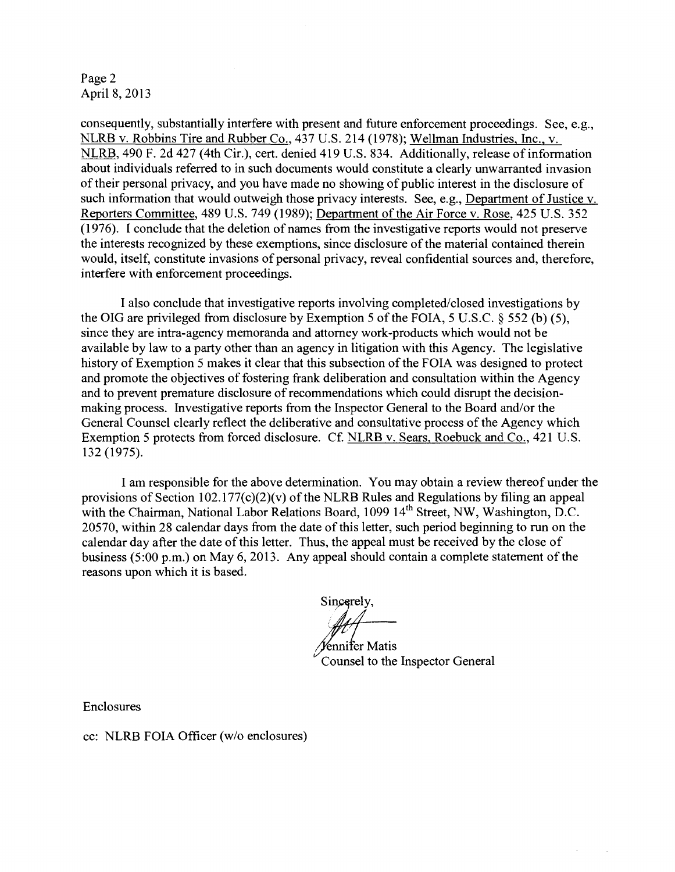Page 2 April 8, 2013

consequently, substantially interfere with present and future enforcement proceedings. See, e.g., NLRB v. Robbins Tire and Rubber Co., 437 U.S. 214 (1978); Wellman Industries, Inc., v. NLRB, 490 F. 2d 427 (4th Cir.), cert. denied 419 U.S. 834. Additionally, release of information about individuals referred to in such documents would constitute a clearly unwarranted invasion of their personal privacy, and you have made no showing of public interest in the disclosure of such information that would outweigh those privacy interests. See, e.g., Department of Justice v. Reporters Committee, 489 U.S. 749 (1989); Department of the Air Force v. Rose, 425 U.S. 352 (1976). I conclude that the deletion of names from the investigative reports would not preserve the interests recognized by these exemptions, since disclosure of the material contained therein would, itself, constitute invasions of personal privacy, reveal confidential sources and, therefore, interfere with enforcement proceedings.

I also conclude that investigative reports involving completed/closed investigations by the OIG are privileged from disclosure by Exemption 5 of the FOIA, 5 U.S.C. § 552 (b) (5), since they are intra-agency memoranda and attorney work-products which would not be available by law to a party other than an agency in litigation with this Agency. The legislative history of Exemption 5 makes it clear that this subsection of the FOIA was designed to protect and promote the objectives of fostering frank deliberation and consultation within the Agency and to prevent premature disclosure of recommendations which could disrupt the decisionmaking process. Investigative reports from the Inspector General to the Board and/or the General Counsel clearly reflect the deliberative and consultative process of the Agency which Exemption 5 protects from forced disclosure. Cf. NLRB v. Sears, Roebuck and Co., 421 U.S. 132 (1975).

I am responsible for the above determination. You may obtain a review thereof under the provisions of Section 102.177(c)(2)(v) of the NLRB Rules and Regulations by filing an appeal with the Chairman, National Labor Relations Board, 1099 14<sup>th</sup> Street, NW, Washington, D.C. 20570, within 28 calendar days from the date of this letter, such period beginning to run on the calendar day after the date of this letter. Thus, the appeal must be received by the close of business (5:00 p.m.) on May 6, 2013. Any appeal should contain a complete statement of the reasons upon which it is based.

Sincerely.

énnifer Matis Counsel to the Inspector General

 $\bar{\bar{z}}$ 

 $\sim$ 

Enclosures

cc: NLRB FOIA Officer (w/o enclosures)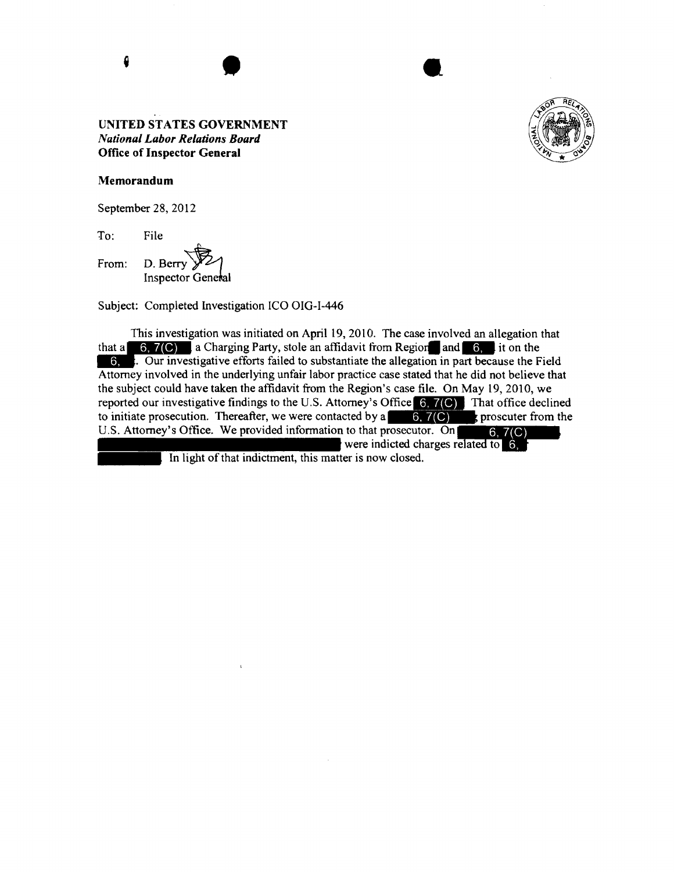

#### Memorandum

September 28, 2012

'Jo: File

चि From: D. Berry  $\mathcal{Y}$ 

Subject: Completed Investigation ICO OIG-I-446

This investigation was initiated on April 19, 2010. The case involved an allegation that Subject: Completed Investigation ICO OIG-I-446<br>
This investigation was initiated on April 19, 2010. The case involved an allegation that<br>
that a **6, 7(6)** a Charging Party, stole an affidavit from Region and **6,** it on th Attorney involved in the underlying unfair labor practice case stated that he did not believe that the subject could have taken the affidavit from the Region's case file. On May 19, 2010, we reported our investigative findings to the U.S. Attorney's Office  $6, 7$ (C) That office declined to initiate prosecution. Thereafter, we were contacted by a  $\Box$  6, 7(C) s proscuter from the The subject could have taken the affidavit from the Region's case file. On May 19, 2010, we<br>reported our investigative findings to the U.S. Attorney's Office 6, 7(C) That office declined<br>to initiate prosecution. Thereafte were indicted

In light of that indictment, this matter is now closed.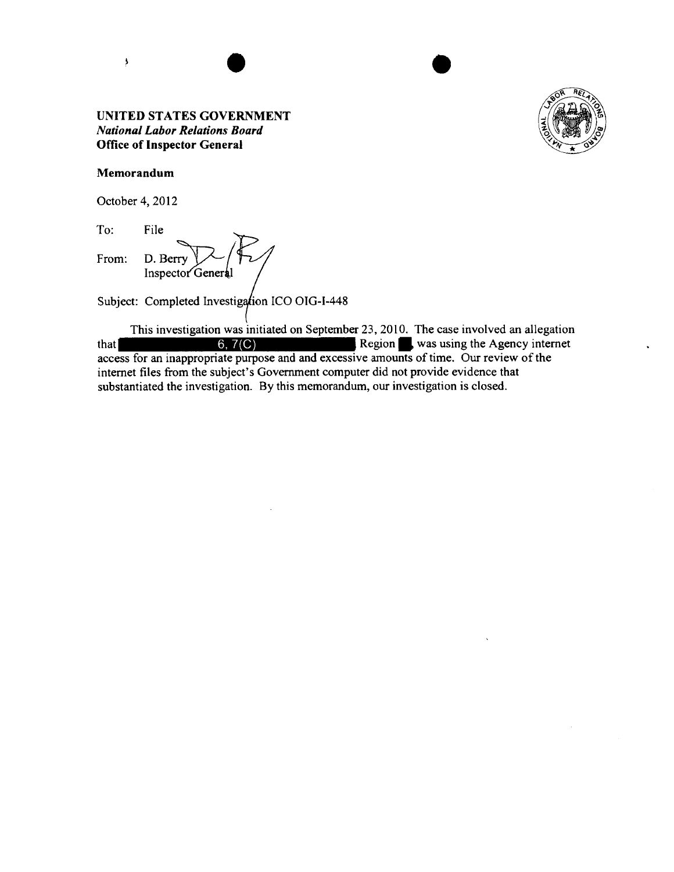

#### **Memorandum**

 $\lambda$ 

October 4, 2012

To: File From: D. Berry  $\sqrt{\phantom{a}}$ 

Subject: Completed Investigation ICO OIG-I-448

This investigation was initiated on September 23, 2010. The case involved an allegation that 6, 7(C) Region • was using the Agency internet access for an inappropriate purpose and and excessive amounts of time. Our review of the internet files from the subject's Government computer did not provide evidence that substantiated the investigation. By this memorandum, our investigation is closed.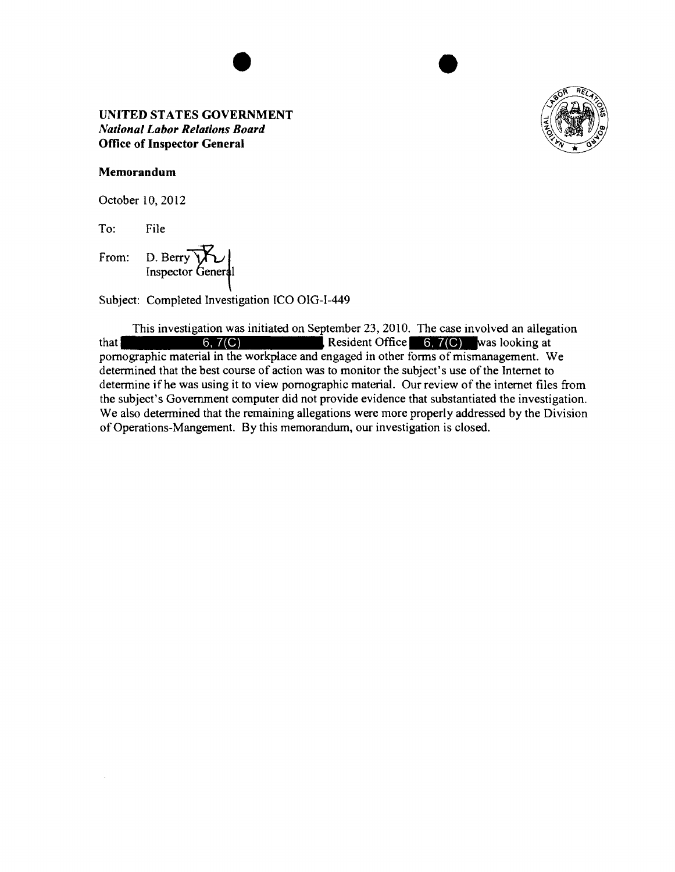

#### **Memorandum**

October 10, 2012

To: File

D. Berry Y From:

Subject: Completed Investigation ICO OIG-1-449

This investigation was initiated on September 23, 2010. The case involved an allegation that 6, 7(C) Resident Office **M\*4i.1Mwas** looking at pornographic material in the workplace and engaged in other forms of mismanagement. We determined that the best course of action was to monitor the subject's use of the Internet to determine if he was using it to view pornographic material. Our review of the internet files from the subject's Government computer did not provide evidence that substantiated the investigation. We also determined that the remaining allegations were more properly addressed by the Division of Operations-Mangement. By this memorandum, our investigation is closed.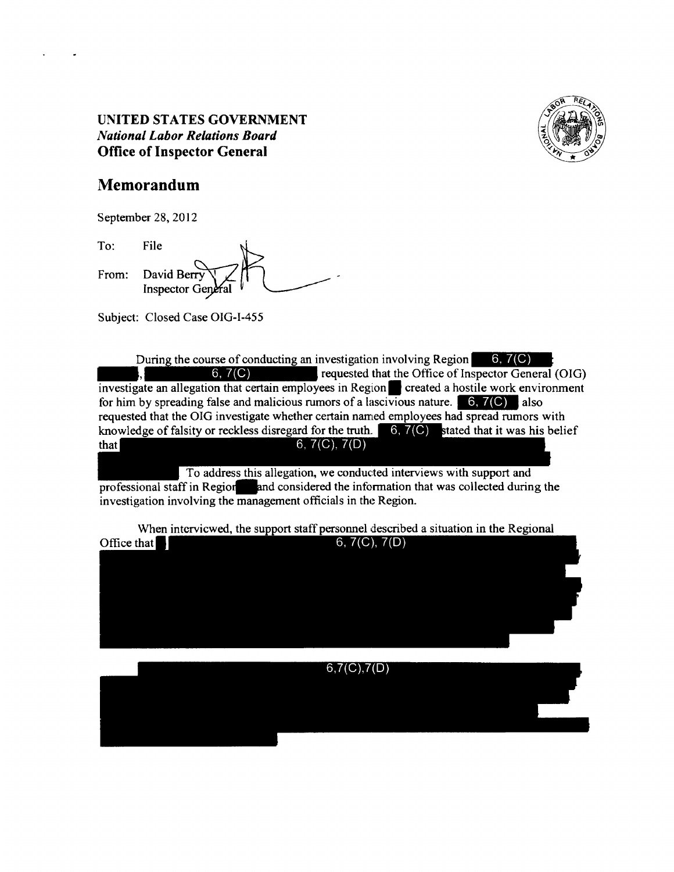

# **Memorandum**

September 28, 2012

From: File  $\qquad \qquad \bigg\}$ David Berry ' ~l - Inspector~ l\_\_-- To:

Subject: Closed Case OIG-1-455

During the course of conducting an investigation involving Region. 6, 7(C)<br>
investigate an allegation that certain employees in Region. created a hostile work environment During the course of conducting an investigation involving Region  $\begin{bmatrix} 6, 7(C) \end{bmatrix}$ for him by spreading false and malicious rumors of a lascivious nature.  $\begin{bmatrix} 6, 7(C) \\ 1 \end{bmatrix}$  also requested that the OIG investigate whether certain named employees had spread rumors with knowledge of falsity or reckless disregard for the truth.  $\boxed{6, 7(C)}$  stated that it was his belief  $6, 7(C), 7(D)$ that

To address this allegation, we conducted interviews with support and professional staff in Region and considered the information that was collected during the investigation involving the management officials in the Region.

When interviewed, the support staff personnel described a situation in the Regional Office that  $\blacksquare$ 6,  $7(C)$ ,  $7(D)$ 

 $6,7(C),7(D)$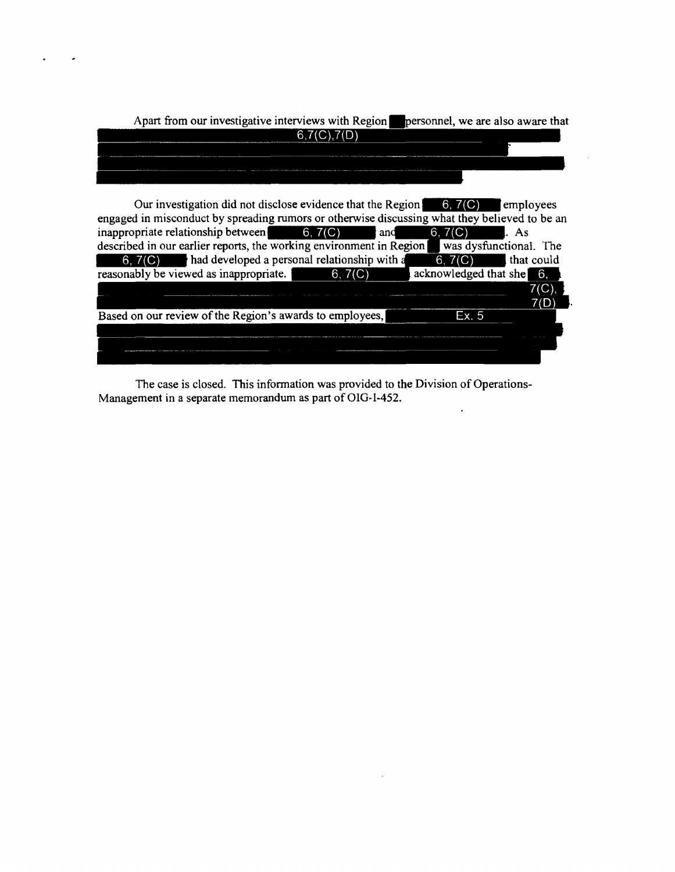| Apart from our investigative interviews with Region<br>personnel, we are also aware that |
|------------------------------------------------------------------------------------------|
|                                                                                          |
|                                                                                          |
|                                                                                          |
|                                                                                          |
|                                                                                          |

 $\overline{\phantom{a}}$ 

 $\bullet$ 

| Our investigation did not disclose evidence that the Region $\left( 6, 7(C) \right)$          |         |                                           | employees              |
|-----------------------------------------------------------------------------------------------|---------|-------------------------------------------|------------------------|
| engaged in misconduct by spreading rumors or otherwise discussing what they believed to be an |         |                                           |                        |
| inappropriate relationship between $\qquad 6, 7(C)$                                           | l and   | 6, 7(C)                                   | l. As                  |
| described in our earlier reports, the working environment in Region                           |         |                                           | was dysfunctional. The |
| $6, 7$ (C) had developed a personal relationship with a                                       |         |                                           | $6, 7(C)$ that could   |
| reasonably be viewed as inappropriate.                                                        | 6, 7(C) | $\alpha$ acknowledged that she $\alpha$ . |                        |
|                                                                                               |         |                                           | 7(C)                   |
|                                                                                               |         |                                           | 7(D)                   |
| Based on our review of the Region's awards to employees,                                      |         | Ex. 5                                     |                        |
|                                                                                               |         |                                           |                        |
|                                                                                               |         |                                           |                        |
|                                                                                               |         |                                           |                        |

The case is closed. This information was provided to the Division of Operations-Management in a separate memorandum as part of OIG-1-452.  $\hat{\mathcal{L}}$ 

 $\sim$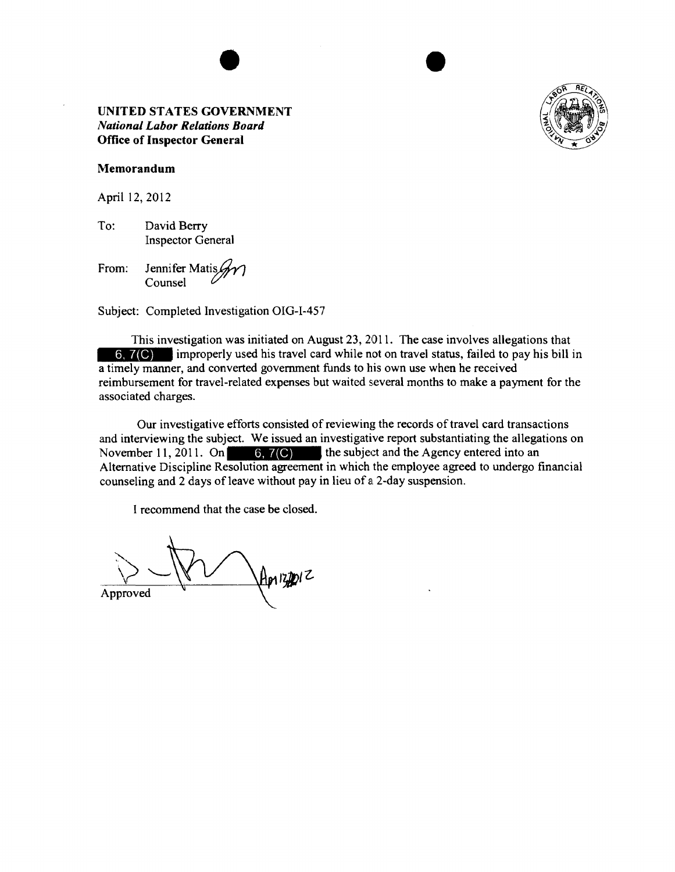

#### Memorandum

April 12, 2012

To: David Berry Inspector General

From: Jennifer Matis $\mathscr{H}$ 

Subject: Completed Investigation OIG-1-457

This investigation was initiated on August 23, 2011. The case involves allegations that 6, 7(C) improperly used his travel card while not on travel status, failed to pay his bill in a timely manner, and converted government funds to his own use when he received reimbursement for travel-related expenses but waited several months to make a payment for the associated charges.

Our investigative efforts consisted of reviewing the records of travel card transactions and interviewing the subject. We issued an investigative report substantiating the allegations on November 11, 2011. On  $\begin{bmatrix} 6, 7(C) \end{bmatrix}$  the subject and the Agency entered into an Alternative Discipline Resolution agreement in which the employee agreed to undergo financial counseling and 2 days of leave without pay in lieu of a 2-day suspension.

 $A$ prizipiz Approved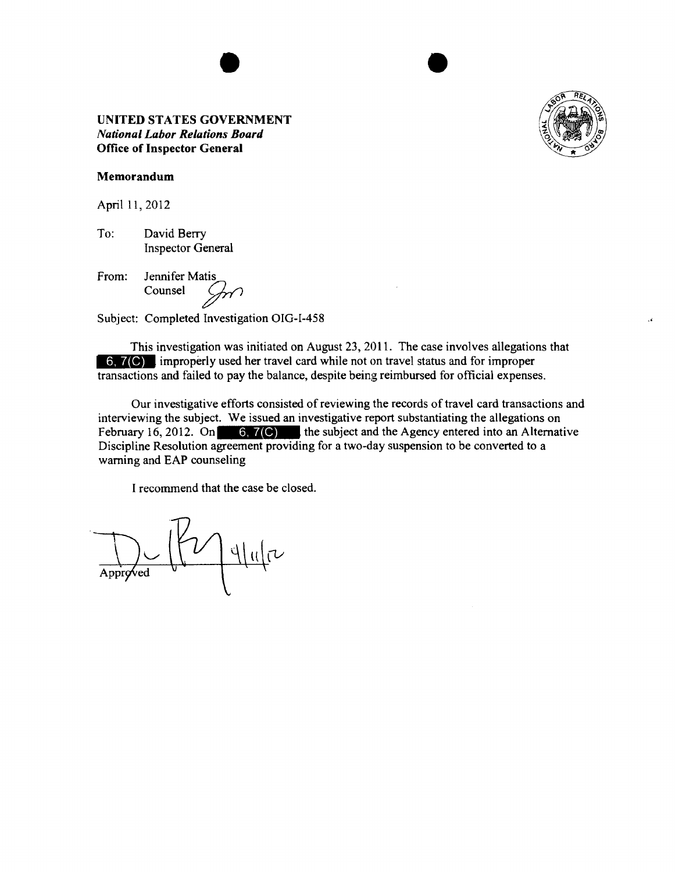

 $\ddot{\phantom{a}}$ 

#### **Memorandum**

April 11, 2012

To: David Berry Inspector General

From: Jennifer Matis

Subject: Completed Investigation OIG-1-458

This investigation was initiated on August 23, 2011. The case involves allegations that **6.7(C)** improperly used her travel card while not on travel status and for improper transactions and failed to pay the balance, despite being reimbursed for official expenses.

Our investigative efforts consisted of reviewing the records of travel card transactions and interviewing the subject. We issued an investigative report substantiating the allegations on February 16, 2012. On 6,  $7$  (C) the subject and the Agency entered into an Alternative Discipline Resolution agreement providing for a two-day suspension to be converted to a warning and EAP counseling

 $\nu$  | 4 | 11 |  $\nu$ Approved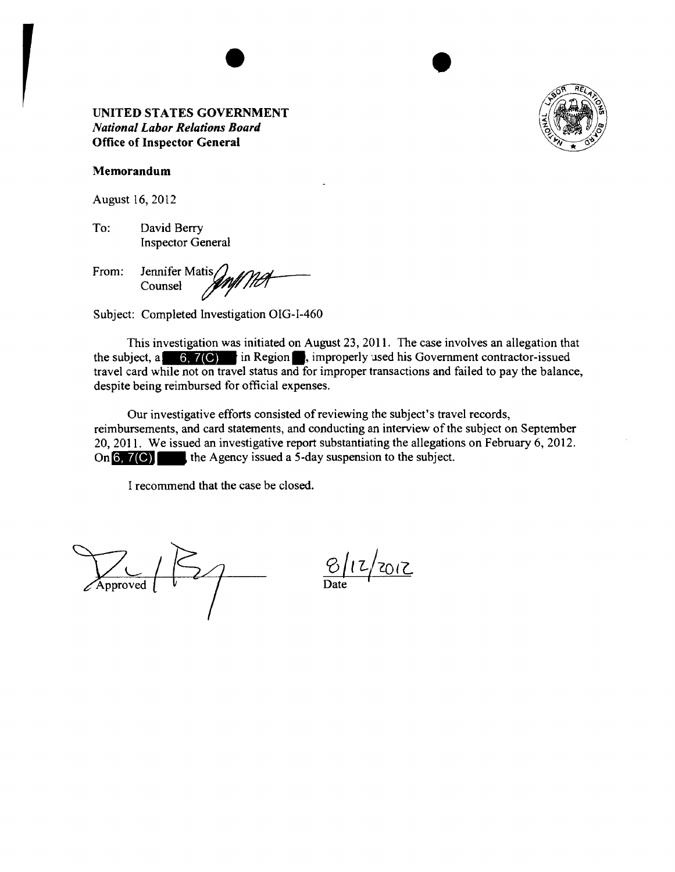

#### **Memorandum**

August 16, 2012

To: David Berry Inspector General

From: Jennifer MatisO.M.#7?~ Counsel */"'f'///l7/* 

Subject: Completed Investigation OIG-1-460

This investigation was initiated on August 23, 2011. The case involves an allegation that the subject, a in Region•· improperly used his Government contractor-issued travel card while not on travel status and for improper transactions and failed to pay the balance, despite being reimbursed for official expenses.

Our investigative efforts consisted of reviewing the subject's travel records, reimbursements, and card statements, and conducting an interview of the subject on September 20, 2011. We issued an investigative report substantiating the allegations on February 6, 2012. On **6, 7(C)** the Agency issued a 5-day suspension to the subject.

 $\frac{1}{\text{Approved}}$ 

CQ / *t L/cot?\_* 

Date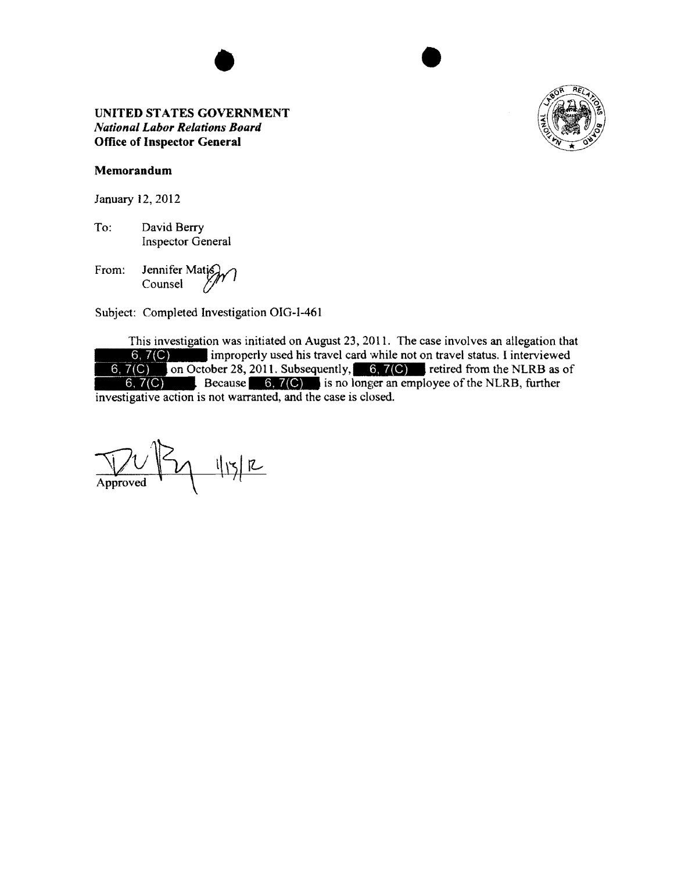•



## Memorandum

January 12, 2012

To: David Berry Inspector General

From: Jennifer Mati $\mathcal{G}_{\mathcal{M}}$ Counsel  $\frac{y}{y}$ <sup> $\frac{y}{y}$ </sup>

Subject: Completed Investigation OIG-1-461

This investigation was initiated on August 23, 2011. The case involves an allegation that  $6, 7(C)$ 6,  $7(C)$  on October 28, 2011. Subsequently, 6,  $7(C)$  retired from the NLRB as of 6,  $7(C)$ improperly used his travel card while not on travel status. I interviewed Because is no longer an employee of the NLRB, further investigative action is not warranted, and the case is closed.

 $V$   $V$   $\gamma$   $\eta$  $\overline{X}$ Approved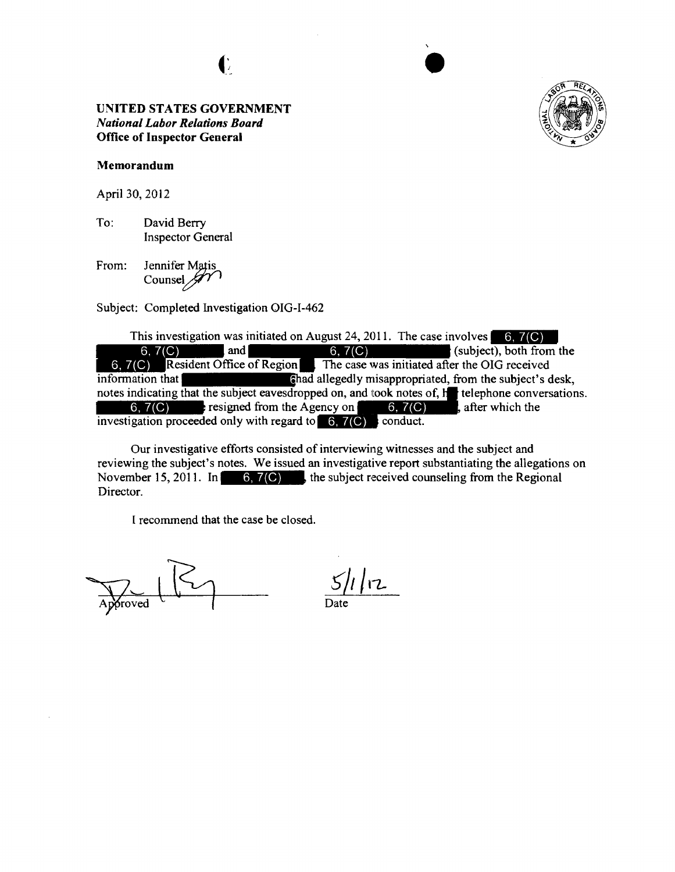G



#### **Memorandum**

April 30, 2012

To: David Berry Inspector General

From: Jennifer Matis Counsel  $\mathscr{J}'$ 

Subject: Completed Investigation OIG-I-462

This investigation was initiated on August 24, 2011. The case involves **-l!JM** 6,  $7(C)$  and  $6, 7(C)$  (subject), both from the 6,  $7(C)$  Resident Office of Region The case was initiated after the OIG received  $\begin{array}{|l|l|l|}\n\hline\n6, 7(C) & \text{Resident Office of Region} & \text{The case was initiated after the OIG received information that} \\
\hline\n\end{array}$  allegedly misappropriated, from the subject's desk, 6, 7(C) and 6, 7(C) on the subject), both from the 6, 7(C) Resident Office of Region The case was initiated after the OIG received information that **6** allegedly misappropriated, from the subject's desk, notes indicating t 6,  $7(C)$  resigned from the Agency on  $6, 7(C)$ , after which the investigation proceeded only with regard to  $6, 7$  (C) conduct.

Our investigative efforts consisted of interviewing witnesses and the subject and reviewing the subject's notes. We issued an investigative report substantiating the allegations on November 15, 2011. In  $\begin{bmatrix} 6 \\ 7 \end{bmatrix}$ , the subject received counseling from the Regional Director.

froved

 $1/12$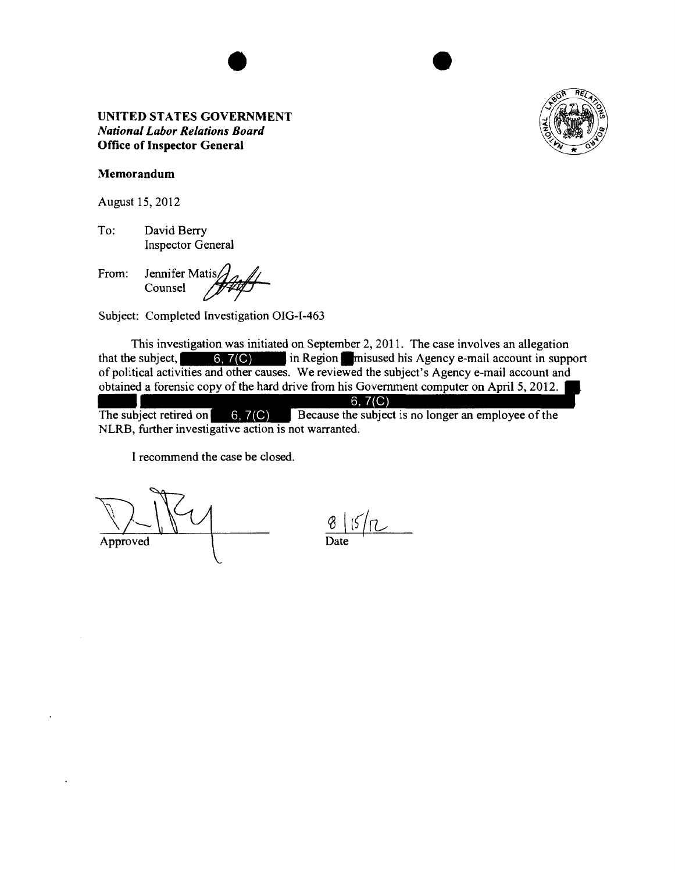

## Memorandum

August 15, 2012

To: David Berry Inspector General

From: Jennifer Matis $\mathcal{J}_{\Lambda}$ Inspector General<br>Jennifer Matis<br>Counsel #1999

Subject: Completed Investigation OIG-I-463

This investigation was initiated on September 2, 2011. The case involves an allegation that the subject, in Region llmisused his Agency e-mail account in support of political activities and other causes. We reviewed the subject's Agency e-mail account and obtained a forensic copy of the hard drive from his Government computer on April 5, 2012. of po<br>obtai<br>The s<br>NLR

 $6, 7(C)$ The subject retired on  $\begin{bmatrix} 6, 7(C) \end{bmatrix}$  Because the subject is no longer an employee of the NLRB, further investigative action is not warranted.

 $\frac{8}{\text{Approxed}}$   $\frac{6}{\text{Date}}$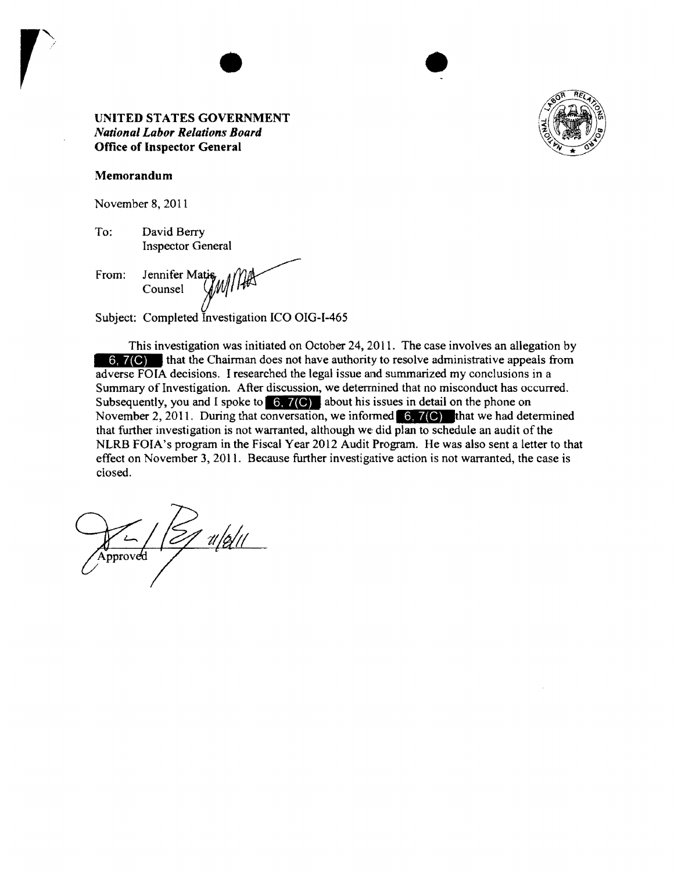

#### Memorandum

November 8, 2011

To: David Berry Inspector General

From: Jennifer Matis Counsel Water 1/14

Subject: Completed Investigation ICO OIG-1-465

This investigation was initiated on October 24, 2011. The case involves an allegation by 6, 7(C) that the Chairman does not have authority to resolve administrative appeals from adverse FOIA decisions. I researched the legal issue and summarized my conclusions in a Summary of Investigation. After discussion, we determined that no misconduct has occurred. Subsequently, you and I spoke to  $\ket{6, 7(C)}$  about his issues in detail on the phone on November 2, 2011. During that conversation, we informed  $\left(6, 7 \right)$  that we had determined that further investigation is not warranted, although we did plan to schedule an audit of the NLRB FOIA's program in the Fiscal Year 2012 Audit Program. He was also sent a letter to that effect on November 3, 2011. Because further investigative action is not warranted, the case is closed.

 $\mathbb{Z}/(Z/4|Z||)$  $q \sqrt{q}$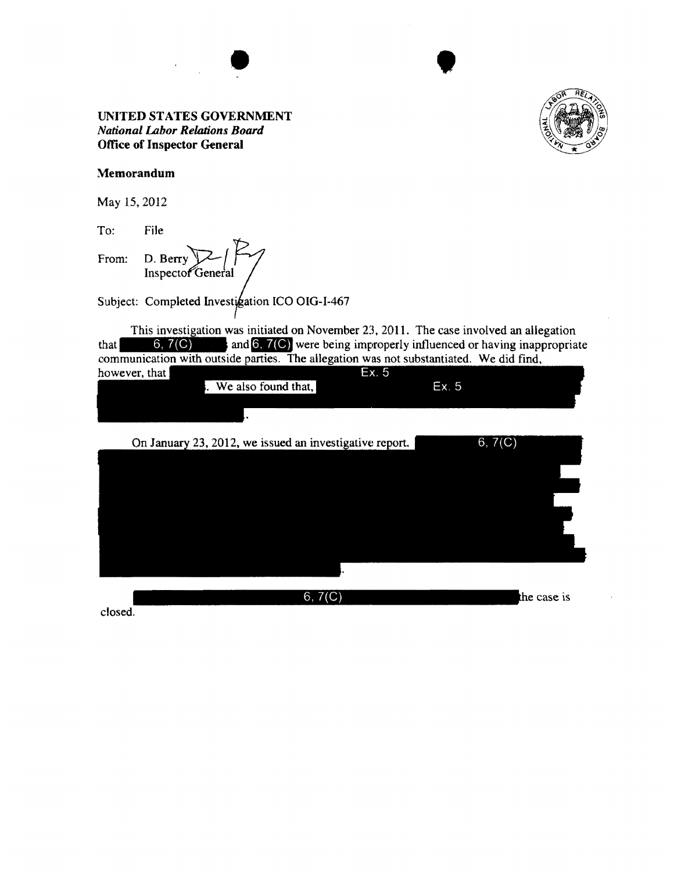



•

## UNITED STATES GOVERNMENT *Nanonal Labor Relations Board*  Office of Inspector General

## Memorandum

May 15, 2012

To: File From: D. Berry Inspector General

Subject: Completed Investigation ICO OIG-I-467

This investigation was initiated on November 23, 2011. The case involved an allegation This investigation was initiated on November 23, 2011. The case involved an allegation that  $\begin{array}{|l|l|} \hline 6, 7(C) \end{array}$  and  $\begin{array}{|l|} \hline 6, 7(C) \end{array}$  were being improperly influenced or having inappropriate communication with outside parties. The allegation was not substantiated. We did find.

| however, that |  |                     | Ex.5 |       |  |
|---------------|--|---------------------|------|-------|--|
|               |  | We also found that, |      | Ex. 5 |  |
|               |  |                     |      |       |  |
|               |  |                     |      |       |  |

| On January 23, 2012, we issued an investigative report. | 6, 7(C)     |
|---------------------------------------------------------|-------------|
|                                                         |             |
|                                                         |             |
|                                                         |             |
|                                                         |             |
|                                                         |             |
|                                                         |             |
|                                                         |             |
| 6, 7(C)                                                 | the case is |
|                                                         |             |

closed.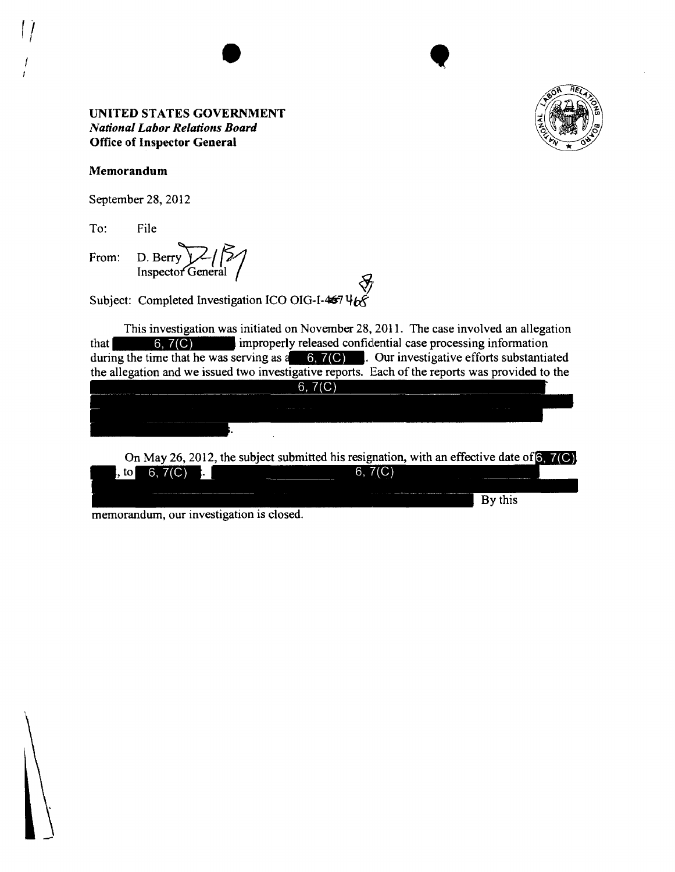

**1** 

#### Memorandum

September 28, 2012

To: File

From: D. Berry Inspector General

Subject: Completed Investigation ICO OIG-I-467 468

This investigation was initiated on November 28, 2011. The case involved an allegation that  $\begin{bmatrix} 6, 7(C) \end{bmatrix}$  improperly released confidential case processing information during the time that he was serving as  $a = 6, 7$  (C) . Our investigative efforts substantiated the allegation and we issued two investigative reports. Each of the reports was provided to the

 $6, 7(C)$ 

On May 26, 2012, the subject submitted his resignation, with an effective date of  $6, 7(C)$ , to  $6, 7(C)$ . 6,  $7(C)$ By this

memorandum, our investigation is closed.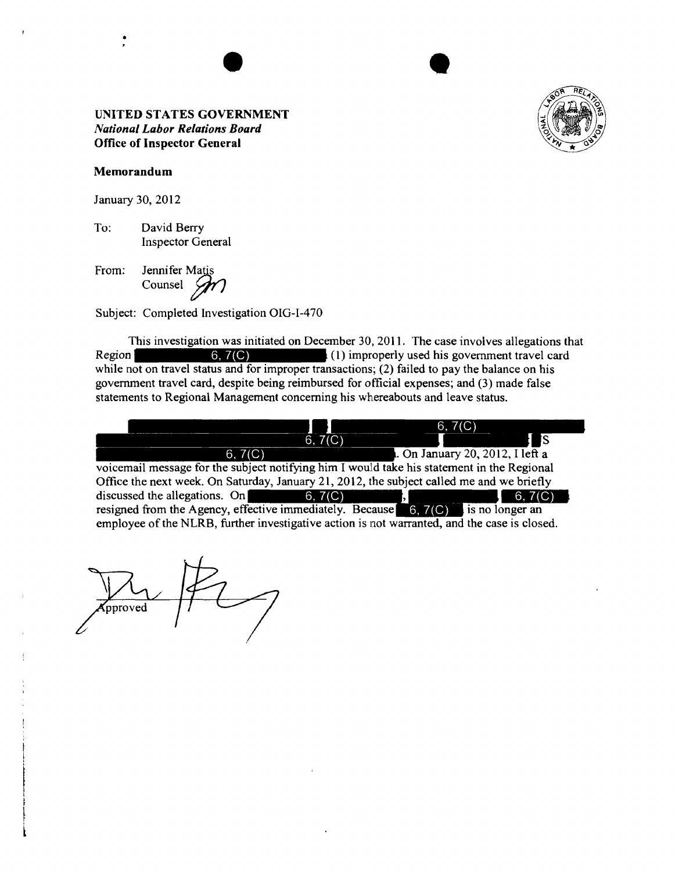

#### **Memorandum**

•

January 30, 2012

To: David Berry Inspector General

From: Jennifer Matis Counsel  $\mathscr{D}$ 

Subject: Completed Investigation OIG-1-470

This investigation was initiated on December 30, 2011. The case involves allegations that Region  $\begin{bmatrix} 6, 7(C) \end{bmatrix}$  (1) improperly used his government travel card while not on travel status and for improper transactions; (2) failed to pay the balance on his government travel card, despite being reimbursed for official expenses; and (3) made false statements to Regional Management concerning his whereabouts and leave status .



pproved